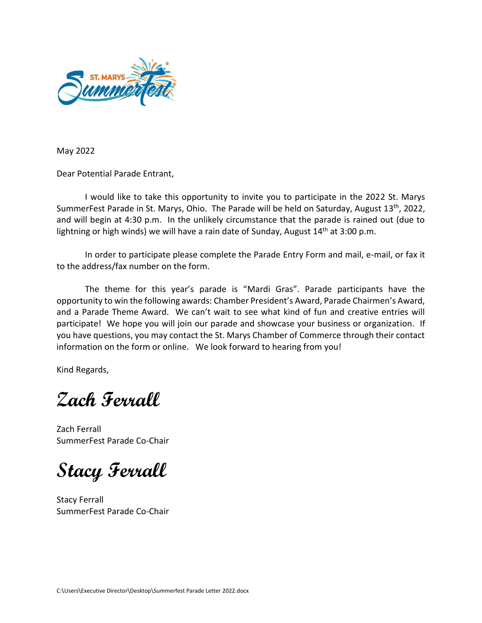

May 2022

Dear Potential Parade Entrant,

I would like to take this opportunity to invite you to participate in the 2022 St. Marys SummerFest Parade in St. Marys, Ohio. The Parade will be held on Saturday, August 13<sup>th</sup>, 2022, and will begin at 4:30 p.m. In the unlikely circumstance that the parade is rained out (due to lightning or high winds) we will have a rain date of Sunday, August 14<sup>th</sup> at 3:00 p.m.

In order to participate please complete the Parade Entry Form and mail, e-mail, or fax it to the address/fax number on the form.

The theme for this year's parade is "Mardi Gras". Parade participants have the opportunity to win the following awards: Chamber President's Award, Parade Chairmen's Award, and a Parade Theme Award. We can't wait to see what kind of fun and creative entries will participate! We hope you will join our parade and showcase your business or organization. If you have questions, you may contact the St. Marys Chamber of Commerce through their contact information on the form or online. We look forward to hearing from you!

Kind Regards,

**Zach Ferrall**

Zach Ferrall SummerFest Parade Co-Chair

**Stacy Ferrall**

Stacy Ferrall SummerFest Parade Co-Chair